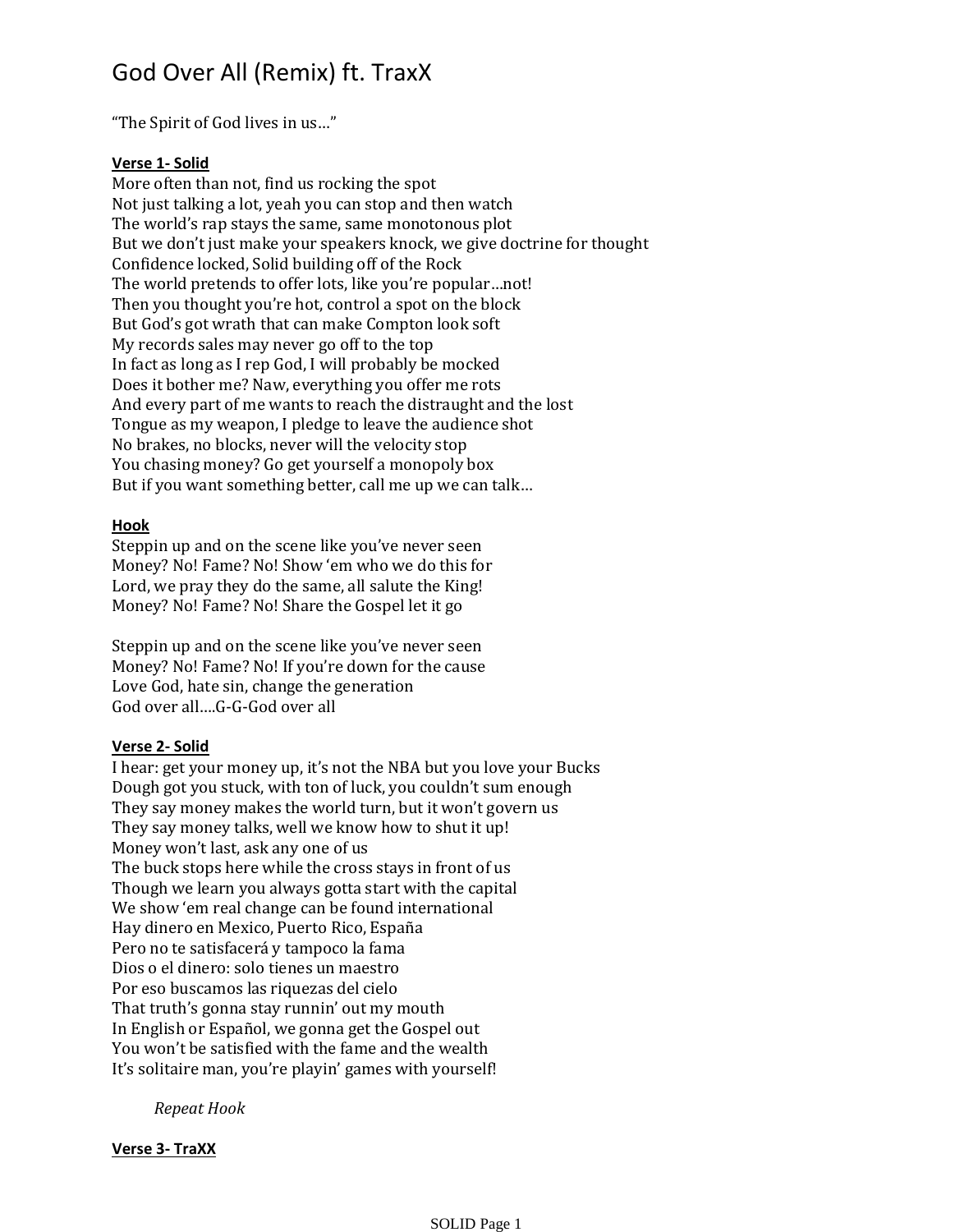# God Over All (Remix) ft. TraxX

"The Spirit of God lives in us…"

## **Verse 1- Solid**

More often than not, find us rocking the spot Not just talking a lot, yeah you can stop and then watch The world's rap stays the same, same monotonous plot But we don't just make your speakers knock, we give doctrine for thought Confidence locked, Solid building off of the Rock The world pretends to offer lots, like you're popular…not! Then you thought you're hot, control a spot on the block But God's got wrath that can make Compton look soft My records sales may never go off to the top In fact as long as I rep God, I will probably be mocked Does it bother me? Naw, everything you offer me rots And every part of me wants to reach the distraught and the lost Tongue as my weapon, I pledge to leave the audience shot No brakes, no blocks, never will the velocity stop You chasing money? Go get yourself a monopoly box But if you want something better, call me up we can talk…

### **Hook**

Steppin up and on the scene like you've never seen Money? No! Fame? No! Show 'em who we do this for Lord, we pray they do the same, all salute the King! Money? No! Fame? No! Share the Gospel let it go

Steppin up and on the scene like you've never seen Money? No! Fame? No! If you're down for the cause Love God, hate sin, change the generation God over all….G-G-God over all

### **Verse 2- Solid**

I hear: get your money up, it's not the NBA but you love your Bucks Dough got you stuck, with ton of luck, you couldn't sum enough They say money makes the world turn, but it won't govern us They say money talks, well we know how to shut it up! Money won't last, ask any one of us The buck stops here while the cross stays in front of us Though we learn you always gotta start with the capital We show 'em real change can be found international Hay dinero en Mexico, Puerto Rico, España Pero no te satisfacerá y tampoco la fama Dios o el dinero: solo tienes un maestro Por eso buscamos las riquezas del cielo That truth's gonna stay runnin' out my mouth In English or Español, we gonna get the Gospel out You won't be satisfied with the fame and the wealth It's solitaire man, you're playin' games with yourself!

*Repeat Hook*

### **Verse 3- TraXX**